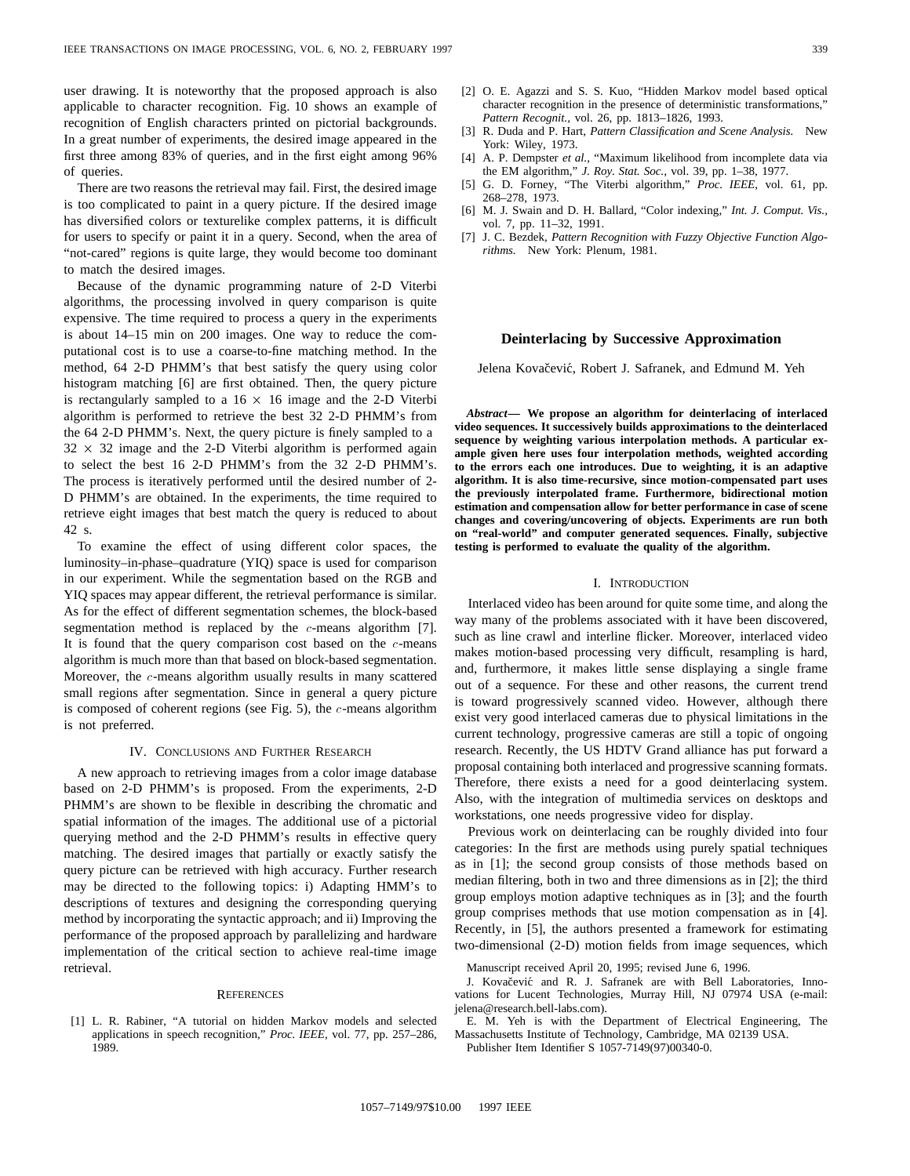user drawing. It is noteworthy that the proposed approach is also applicable to character recognition. Fig. 10 shows an example of recognition of English characters printed on pictorial backgrounds. In a great number of experiments, the desired image appeared in the first three among 83% of queries, and in the first eight among 96% of queries.

There are two reasons the retrieval may fail. First, the desired image is too complicated to paint in a query picture. If the desired image has diversified colors or texturelike complex patterns, it is difficult for users to specify or paint it in a query. Second, when the area of "not-cared" regions is quite large, they would become too dominant to match the desired images.

Because of the dynamic programming nature of 2-D Viterbi algorithms, the processing involved in query comparison is quite expensive. The time required to process a query in the experiments is about 14–15 min on 200 images. One way to reduce the computational cost is to use a coarse-to-fine matching method. In the method, 64 2-D PHMM's that best satisfy the query using color histogram matching [6] are first obtained. Then, the query picture is rectangularly sampled to a  $16 \times 16$  image and the 2-D Viterbi algorithm is performed to retrieve the best 32 2-D PHMM's from the 64 2-D PHMM's. Next, the query picture is finely sampled to a  $32 \times 32$  image and the 2-D Viterbi algorithm is performed again to select the best 16 2-D PHMM's from the 32 2-D PHMM's. The process is iteratively performed until the desired number of 2- D PHMM's are obtained. In the experiments, the time required to retrieve eight images that best match the query is reduced to about 42 s.

To examine the effect of using different color spaces, the luminosity–in-phase–quadrature (YIQ) space is used for comparison in our experiment. While the segmentation based on the RGB and YIQ spaces may appear different, the retrieval performance is similar. As for the effect of different segmentation schemes, the block-based segmentation method is replaced by the  $c$ -means algorithm [7]. It is found that the query comparison cost based on the  $c$ -means algorithm is much more than that based on block-based segmentation. Moreover, the c-means algorithm usually results in many scattered small regions after segmentation. Since in general a query picture is composed of coherent regions (see Fig. 5), the  $c$ -means algorithm is not preferred.

## IV. CONCLUSIONS AND FURTHER RESEARCH

A new approach to retrieving images from a color image database based on 2-D PHMM's is proposed. From the experiments, 2-D PHMM's are shown to be flexible in describing the chromatic and spatial information of the images. The additional use of a pictorial querying method and the 2-D PHMM's results in effective query matching. The desired images that partially or exactly satisfy the query picture can be retrieved with high accuracy. Further research may be directed to the following topics: i) Adapting HMM's to descriptions of textures and designing the corresponding querying method by incorporating the syntactic approach; and ii) Improving the performance of the proposed approach by parallelizing and hardware implementation of the critical section to achieve real-time image retrieval.

#### **REFERENCES**

- [2] O. E. Agazzi and S. S. Kuo, "Hidden Markov model based optical character recognition in the presence of deterministic transformations," *Pattern Recognit.,* vol. 26, pp. 1813–1826, 1993.
- [3] R. Duda and P. Hart, *Pattern Classification and Scene Analysis.* New York: Wiley, 1973.
- [4] A. P. Dempster *et al.*, "Maximum likelihood from incomplete data via the EM algorithm," *J. Roy. Stat. Soc.,* vol. 39, pp. 1–38, 1977.
- [5] G. D. Forney, "The Viterbi algorithm," *Proc. IEEE,* vol. 61, pp. 268–278, 1973.
- [6] M. J. Swain and D. H. Ballard, "Color indexing," *Int. J. Comput. Vis.,* vol. 7, pp. 11–32, 1991.
- [7] J. C. Bezdek, *Pattern Recognition with Fuzzy Objective Function Algorithms.* New York: Plenum, 1981.

## **Deinterlacing by Successive Approximation**

Jelena Kovačević, Robert J. Safranek, and Edmund M. Yeh

*Abstract—* **We propose an algorithm for deinterlacing of interlaced video sequences. It successively builds approximations to the deinterlaced sequence by weighting various interpolation methods. A particular example given here uses four interpolation methods, weighted according to the errors each one introduces. Due to weighting, it is an adaptive algorithm. It is also time-recursive, since motion-compensated part uses the previously interpolated frame. Furthermore, bidirectional motion estimation and compensation allow for better performance in case of scene changes and covering/uncovering of objects. Experiments are run both on "real-world" and computer generated sequences. Finally, subjective testing is performed to evaluate the quality of the algorithm.**

#### I. INTRODUCTION

Interlaced video has been around for quite some time, and along the way many of the problems associated with it have been discovered, such as line crawl and interline flicker. Moreover, interlaced video makes motion-based processing very difficult, resampling is hard, and, furthermore, it makes little sense displaying a single frame out of a sequence. For these and other reasons, the current trend is toward progressively scanned video. However, although there exist very good interlaced cameras due to physical limitations in the current technology, progressive cameras are still a topic of ongoing research. Recently, the US HDTV Grand alliance has put forward a proposal containing both interlaced and progressive scanning formats. Therefore, there exists a need for a good deinterlacing system. Also, with the integration of multimedia services on desktops and workstations, one needs progressive video for display.

Previous work on deinterlacing can be roughly divided into four categories: In the first are methods using purely spatial techniques as in [1]; the second group consists of those methods based on median filtering, both in two and three dimensions as in [2]; the third group employs motion adaptive techniques as in [3]; and the fourth group comprises methods that use motion compensation as in [4]. Recently, in [5], the authors presented a framework for estimating two-dimensional (2-D) motion fields from image sequences, which

Manuscript received April 20, 1995; revised June 6, 1996.

J. Kovačević and R. J. Safranek are with Bell Laboratories, Innovations for Lucent Technologies, Murray Hill, NJ 07974 USA (e-mail: jelena@research.bell-labs.com).

<sup>[1]</sup> L. R. Rabiner, "A tutorial on hidden Markov models and selected applications in speech recognition," *Proc. IEEE,* vol. 77, pp. 257–286, 1989.

E. M. Yeh is with the Department of Electrical Engineering, The Massachusetts Institute of Technology, Cambridge, MA 02139 USA.

Publisher Item Identifier S 1057-7149(97)00340-0.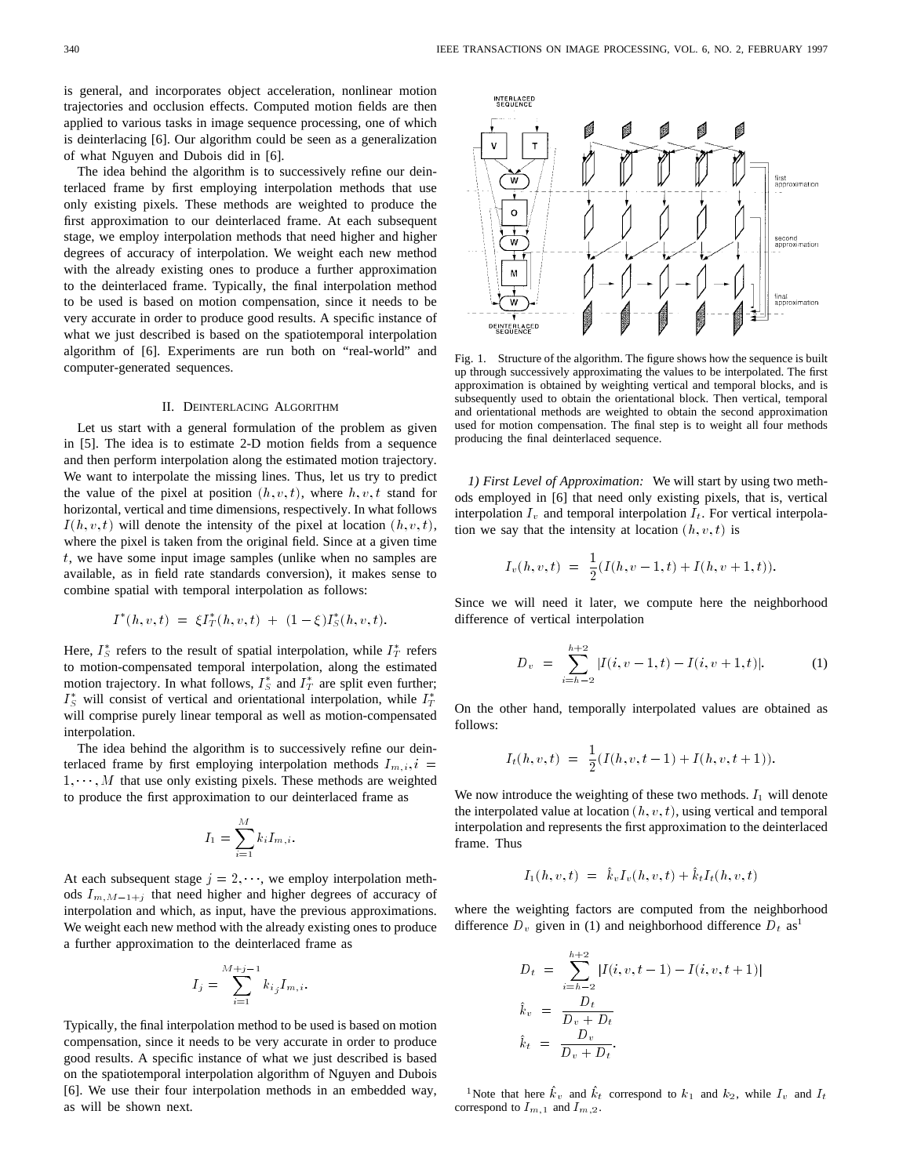is general, and incorporates object acceleration, nonlinear motion trajectories and occlusion effects. Computed motion fields are then applied to various tasks in image sequence processing, one of which is deinterlacing [6]. Our algorithm could be seen as a generalization of what Nguyen and Dubois did in [6].

The idea behind the algorithm is to successively refine our deinterlaced frame by first employing interpolation methods that use only existing pixels. These methods are weighted to produce the first approximation to our deinterlaced frame. At each subsequent stage, we employ interpolation methods that need higher and higher degrees of accuracy of interpolation. We weight each new method with the already existing ones to produce a further approximation to the deinterlaced frame. Typically, the final interpolation method to be used is based on motion compensation, since it needs to be very accurate in order to produce good results. A specific instance of what we just described is based on the spatiotemporal interpolation algorithm of [6]. Experiments are run both on "real-world" and computer-generated sequences.

# II. DEINTERLACING ALGORITHM

Let us start with a general formulation of the problem as given in [5]. The idea is to estimate 2-D motion fields from a sequence and then perform interpolation along the estimated motion trajectory. We want to interpolate the missing lines. Thus, let us try to predict the value of the pixel at position  $(h, v, t)$ , where  $h, v, t$  stand for horizontal, vertical and time dimensions, respectively. In what follows  $I(h, v, t)$  will denote the intensity of the pixel at location  $(h, v, t)$ , where the pixel is taken from the original field. Since at a given time t, we have some input image samples (unlike when no samples are available, as in field rate standards conversion), it makes sense to combine spatial with temporal interpolation as follows:

$$
I^*(h, v, t) = \xi I_T^*(h, v, t) + (1 - \xi)I_S^*(h, v, t).
$$

Here,  $I_{\mathcal{S}}^*$  refers to the result of spatial interpolation, while  $I_{\mathcal{I}}^*$  refers to motion-compensated temporal interpolation, along the estimated motion trajectory. In what follows,  $I_S^k$  and  $I_T^*$  are split even further;  $I_S^*$  will consist of vertical and orientational interpolation, while  $I_T^*$ will comprise purely linear temporal as well as motion-compensated interpolation.

The idea behind the algorithm is to successively refine our deinterlaced frame by first employing interpolation methods  $I_{m,i}$ ,  $i =$  $1, \dots, M$  that use only existing pixels. These methods are weighted to produce the first approximation to our deinterlaced frame as

$$
I_1=\sum_{i=1}^M k_i I_{m,i}.
$$

At each subsequent stage  $j = 2, \dots$ , we employ interpolation methods  $I_{m,M-1+j}$  that need higher and higher degrees of accuracy of interpolation and which, as input, have the previous approximations. We weight each new method with the already existing ones to produce a further approximation to the deinterlaced frame as

$$
I_j=\sum_{i=1}^{M+j-1}k_{i_j}I_{m,i}.
$$

Typically, the final interpolation method to be used is based on motion compensation, since it needs to be very accurate in order to produce good results. A specific instance of what we just described is based on the spatiotemporal interpolation algorithm of Nguyen and Dubois [6]. We use their four interpolation methods in an embedded way, as will be shown next.



Fig. 1. Structure of the algorithm. The figure shows how the sequence is built up through successively approximating the values to be interpolated. The first approximation is obtained by weighting vertical and temporal blocks, and is subsequently used to obtain the orientational block. Then vertical, temporal and orientational methods are weighted to obtain the second approximation used for motion compensation. The final step is to weight all four methods producing the final deinterlaced sequence.

*1) First Level of Approximation:* We will start by using two methods employed in [6] that need only existing pixels, that is, vertical interpolation  $I_v$  and temporal interpolation  $I_t$ . For vertical interpolation we say that the intensity at location  $(h, v, t)$  is

$$
I_v(h, v, t) = \frac{1}{2}(I(h, v - 1, t) + I(h, v + 1, t)).
$$

Since we will need it later, we compute here the neighborhood difference of vertical interpolation

$$
D_v = \sum_{i=h-2}^{h+2} |I(i, v-1, t) - I(i, v+1, t)|.
$$
 (1)

On the other hand, temporally interpolated values are obtained as follows:

$$
I_t(h, v, t) = \frac{1}{2}(I(h, v, t-1) + I(h, v, t+1)).
$$

We now introduce the weighting of these two methods.  $I_1$  will denote the interpolated value at location  $(h, v, t)$ , using vertical and temporal interpolation and represents the first approximation to the deinterlaced frame. Thus

$$
I_1(h, v, t) = \hat{k}_v I_v(h, v, t) + \hat{k}_t I_t(h, v, t)
$$

where the weighting factors are computed from the neighborhood difference  $D_v$  given in (1) and neighborhood difference  $D_t$  as<sup>1</sup>

$$
D_t = \sum_{i=h-2}^{h+2} |I(i, v, t-1) - I(i, v, t+1)|
$$
  
\n
$$
\hat{k}_v = \frac{D_t}{D_v + D_t}
$$
  
\n
$$
\hat{k}_t = \frac{D_v}{D_v + D_t}.
$$

<sup>1</sup>Note that here  $\hat{k}_v$  and  $\hat{k}_t$  correspond to  $k_1$  and  $k_2$ , while  $I_v$  and  $I_t$ correspond to  $I_{m,1}$  and  $I_{m,2}$ .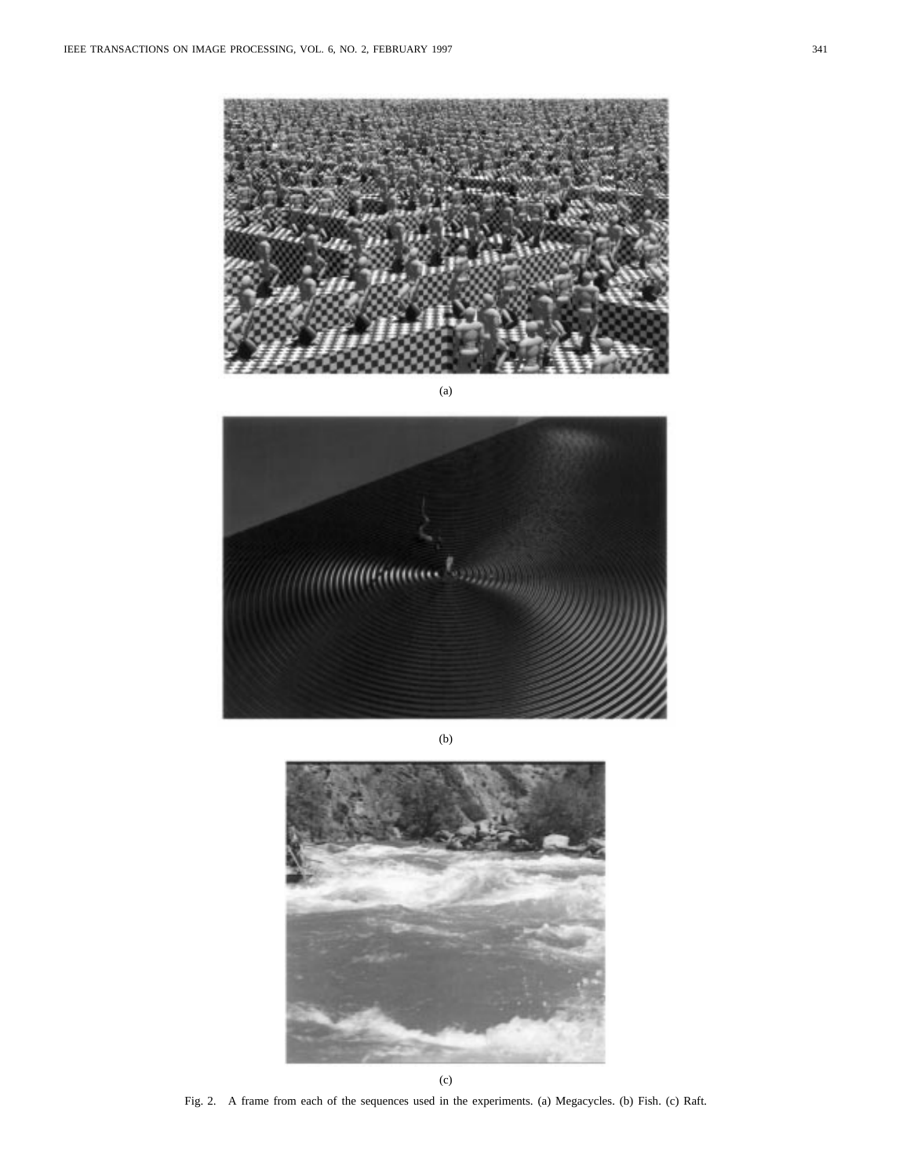

(a)



(b)



Fig. 2. A frame from each of the sequences used in the experiments. (a) Megacycles. (b) Fish. (c) Raft.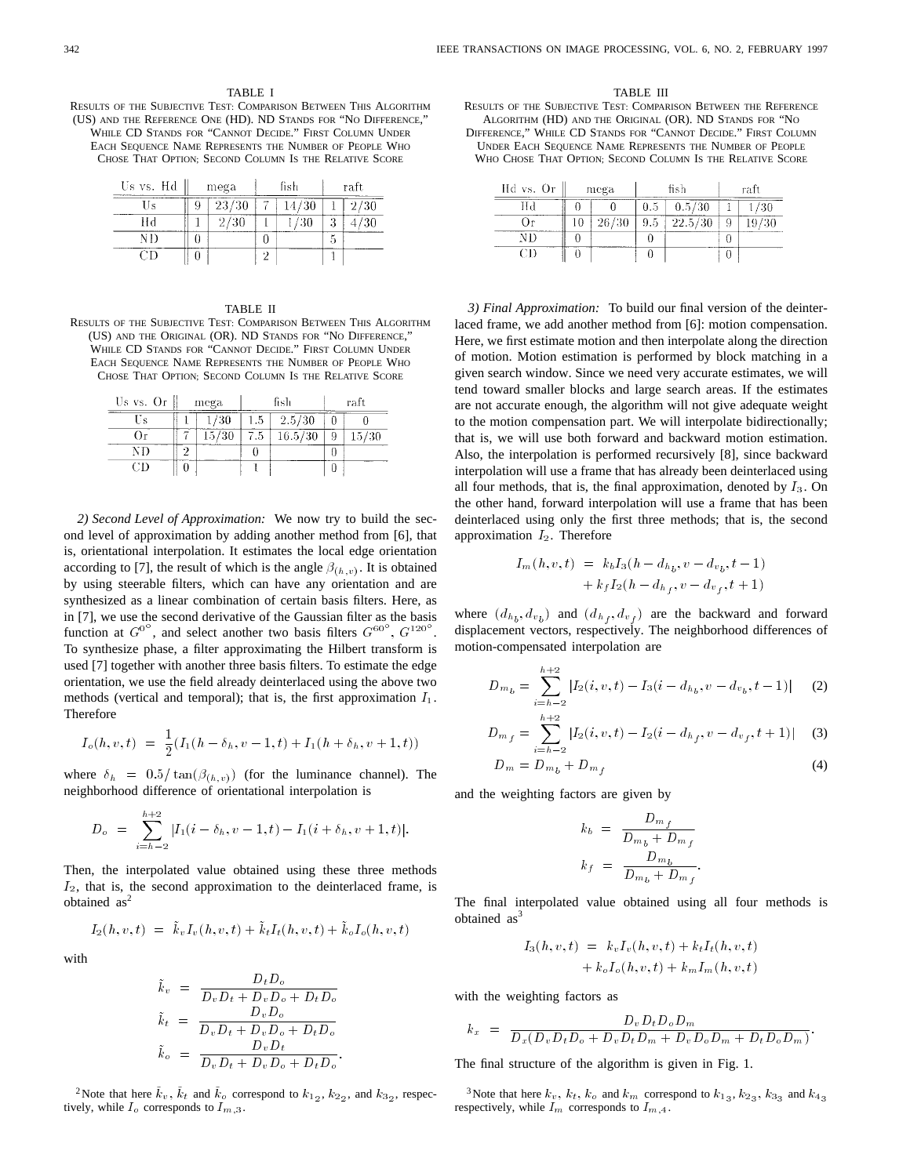TABLE I RESULTS OF THE SUBJECTIVE TEST: COMPARISON BETWEEN THIS ALGORITHM (US) AND THE REFERENCE ONE (HD). ND STANDS FOR "NO DIFFERENCE," WHILE CD STANDS FOR "CANNOT DECIDE." FIRST COLUMN UNDER EACH SEQUENCE NAME REPRESENTS THE NUMBER OF PEOPLE WHO CHOSE THAT OPTION; SECOND COLUMN IS THE RELATIVE SCORE

| Us vs. Hd | mega |       | fish |       | raft |  |
|-----------|------|-------|------|-------|------|--|
|           |      | 23/30 |      | 14/30 |      |  |
| Нd        |      |       |      |       |      |  |
| ND.       |      |       |      |       |      |  |
|           |      |       |      |       |      |  |

### TABLE II

RESULTS OF THE SUBJECTIVE TEST: COMPARISON BETWEEN THIS ALGORITHM (US) AND THE ORIGINAL (OR). ND STANDS FOR "NO DIFFERENCE," WHILE CD STANDS FOR "CANNOT DECIDE." FIRST COLUMN UNDER EACH SEQUENCE NAME REPRESENTS THE NUMBER OF PEOPLE WHO CHOSE THAT OPTION; SECOND COLUMN IS THE RELATIVE SCORE

| Us vs. Or | mega |       |     | fish    | raft |       |
|-----------|------|-------|-----|---------|------|-------|
| Us        |      | 1/30  | 1.5 | 2.5/30  |      |       |
| Ог        |      | 15/30 | 7.5 | 16.5/30 | 9    | 15/30 |
| ND.       | ٠    |       |     |         |      |       |
|           |      |       |     |         |      |       |

*2) Second Level of Approximation:* We now try to build the second level of approximation by adding another method from [6], that is, orientational interpolation. It estimates the local edge orientation according to [7], the result of which is the angle  $\beta_{(h,v)}$ . It is obtained by using steerable filters, which can have any orientation and are synthesized as a linear combination of certain basis filters. Here, as in [7], we use the second derivative of the Gaussian filter as the basis function at  $G^{0^{\circ}}$ , and select another two basis filters  $G^{60^{\circ}}$ ,  $G^{120^{\circ}}$ . To synthesize phase, a filter approximating the Hilbert transform is used [7] together with another three basis filters. To estimate the edge orientation, we use the field already deinterlaced using the above two methods (vertical and temporal); that is, the first approximation  $I_1$ . Therefore

$$
I_o(h, v, t) = \frac{1}{2}(I_1(h - \delta_h, v - 1, t) + I_1(h + \delta_h, v + 1, t))
$$

where  $\delta_h = 0.5/\tan(\beta_{(h,v)})$  (for the luminance channel). The neighborhood difference of orientational interpolation is

$$
D_o = \sum_{i=h-2}^{h+2} |I_1(i - \delta_h, v - 1, t) - I_1(i + \delta_h, v + 1, t)|.
$$

Then, the interpolated value obtained using these three methods  $I_2$ , that is, the second approximation to the deinterlaced frame, is obtained as<sup>2</sup>

$$
I_2(h, v, t) = \tilde{k}_v I_v(h, v, t) + \tilde{k}_t I_t(h, v, t) + \tilde{k}_o I_o(h, v, t)
$$

with

$$
\tilde{k}_v = \frac{D_t D_o}{D_v D_t + D_v D_o + D_t D_o}
$$
\n
$$
\tilde{k}_t = \frac{D_v D_o}{D_v D_t + D_v D_o + D_t D_o}
$$
\n
$$
\tilde{k}_o = \frac{D_v D_t}{D_v D_t + D_v D_o + D_t D_o}.
$$

<sup>2</sup>Note that here  $\bar{k}_v$ ,  $\bar{k}_t$  and  $\bar{k}_o$  correspond to  $k_{12}$ ,  $k_{22}$ , and  $k_{32}$ , respectively, while  $I_o$  corresponds to  $I_{m,3}$ .

TABLE III

RESULTS OF THE SUBJECTIVE TEST: COMPARISON BETWEEN THE REFERENCE ALGORITHM (HD) AND THE ORIGINAL (OR). ND STANDS FOR "NO DIFFERENCE," WHILE CD STANDS FOR "CANNOT DECIDE." FIRST COLUMN UNDER EACH SEQUENCE NAME REPRESENTS THE NUMBER OF PEOPLE WHO CHOSE THAT OPTION; SECOND COLUMN IS THE RELATIVE SCORE

| Hd vs. Or | mega |       | fish |         | raft |  |
|-----------|------|-------|------|---------|------|--|
| Ħd        |      |       | 0.5  | 0.5/30  |      |  |
|           |      | 26/30 | 9.5  | 22.5/30 | -9   |  |
| ND.       |      |       |      |         |      |  |
|           |      |       |      |         |      |  |

*3) Final Approximation:* To build our final version of the deinterlaced frame, we add another method from [6]: motion compensation. Here, we first estimate motion and then interpolate along the direction of motion. Motion estimation is performed by block matching in a given search window. Since we need very accurate estimates, we will tend toward smaller blocks and large search areas. If the estimates are not accurate enough, the algorithm will not give adequate weight to the motion compensation part. We will interpolate bidirectionally; that is, we will use both forward and backward motion estimation. Also, the interpolation is performed recursively [8], since backward interpolation will use a frame that has already been deinterlaced using all four methods, that is, the final approximation, denoted by  $I_3$ . On the other hand, forward interpolation will use a frame that has been deinterlaced using only the first three methods; that is, the second approximation  $I_2$ . Therefore

$$
I_m(h, v, t) = k_b I_3(h - d_{h_b}, v - d_{v_b}, t - 1)
$$
  
+  $k_f I_2(h - d_{h_f}, v - d_{v_f}, t + 1)$ 

where  $(d_{h_b}, d_{v_b})$  and  $(d_{h_f}, d_{v_f})$  are the backward and forward displacement vectors, respectively. The neighborhood differences of motion-compensated interpolation are

$$
D_{m_b} = \sum_{i=h-2}^{h+2} |I_2(i, v, t) - I_3(i - d_{h_b}, v - d_{v_b}, t - 1)| \qquad (2)
$$

$$
D_{m_f} = \sum_{i=h-2}^{h+2} |I_2(i, v, t) - I_2(i - d_{h_f}, v - d_{v_f}, t + 1)| \quad (3)
$$

$$
D_m = D_{m_b} + D_{m_f} \tag{4}
$$

and the weighting factors are given by

$$
k_b = \frac{D_{m_f}}{D_{m_b} + D_{m_f}}
$$
  

$$
k_f = \frac{D_{m_b}}{D_{m_b} + D_{m_f}}
$$

The final interpolated value obtained using all four methods is obtained  $as<sup>3</sup>$ 

$$
I_3(h, v, t) = k_v I_v(h, v, t) + k_t I_t(h, v, t) + k_o I_o(h, v, t) + k_m I_m(h, v, t)
$$

with the weighting factors as

$$
k_x = \frac{D_v D_t D_o D_m}{D_x (D_v D_t D_o + D_v D_t D_m + D_v D_o D_m + D_t D_o D_m)}
$$

:

The final structure of the algorithm is given in Fig. 1.

<sup>3</sup>Note that here  $k_v$ ,  $k_t$ ,  $k_o$  and  $k_m$  correspond to  $k_{13}$ ,  $k_{23}$ ,  $k_{33}$  and  $k_{43}$ respectively, while  $I_m$  corresponds to  $I_{m,4}$ .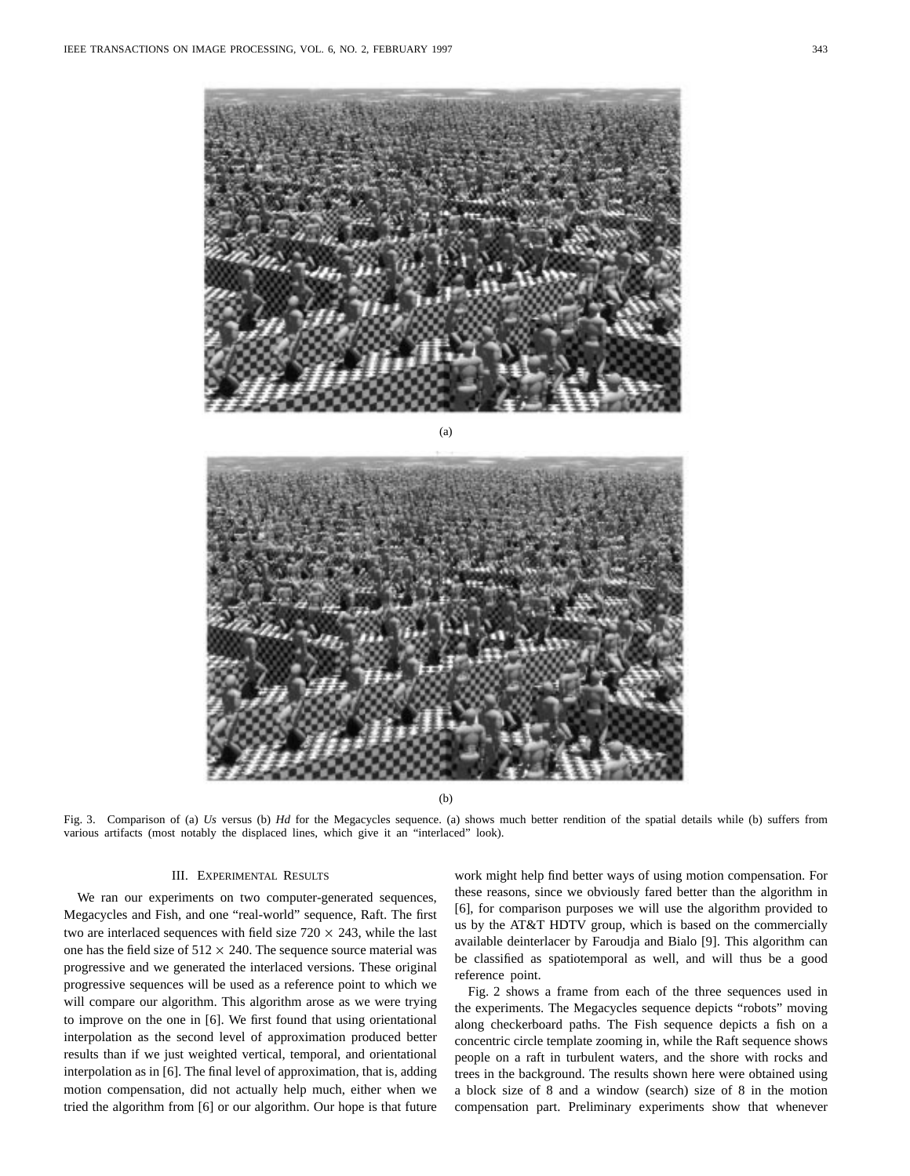

(a)



(b)

Fig. 3. Comparison of (a) *Us* versus (b) *Hd* for the Megacycles sequence. (a) shows much better rendition of the spatial details while (b) suffers from various artifacts (most notably the displaced lines, which give it an "interlaced" look).

# III. EXPERIMENTAL RESULTS

We ran our experiments on two computer-generated sequences, Megacycles and Fish, and one "real-world" sequence, Raft. The first two are interlaced sequences with field size  $720 \times 243$ , while the last one has the field size of  $512 \times 240$ . The sequence source material was progressive and we generated the interlaced versions. These original progressive sequences will be used as a reference point to which we will compare our algorithm. This algorithm arose as we were trying to improve on the one in [6]. We first found that using orientational interpolation as the second level of approximation produced better results than if we just weighted vertical, temporal, and orientational interpolation as in [6]. The final level of approximation, that is, adding motion compensation, did not actually help much, either when we tried the algorithm from [6] or our algorithm. Our hope is that future

work might help find better ways of using motion compensation. For these reasons, since we obviously fared better than the algorithm in [6], for comparison purposes we will use the algorithm provided to us by the AT&T HDTV group, which is based on the commercially available deinterlacer by Faroudja and Bialo [9]. This algorithm can be classified as spatiotemporal as well, and will thus be a good reference point.

Fig. 2 shows a frame from each of the three sequences used in the experiments. The Megacycles sequence depicts "robots" moving along checkerboard paths. The Fish sequence depicts a fish on a concentric circle template zooming in, while the Raft sequence shows people on a raft in turbulent waters, and the shore with rocks and trees in the background. The results shown here were obtained using a block size of 8 and a window (search) size of 8 in the motion compensation part. Preliminary experiments show that whenever